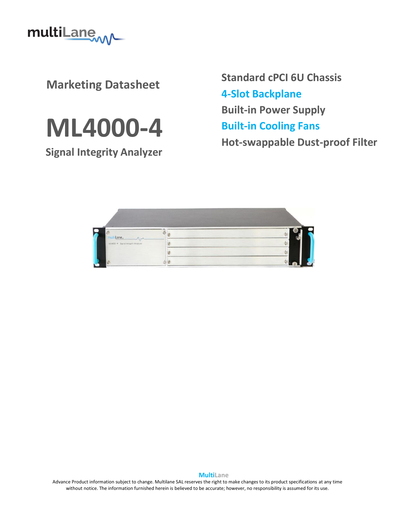

**Marketing Datasheet**



**Signal Integrity Analyzer**

**Standard cPCI 6U Chassis 4-Slot Backplane Built-in Power Supply Built-in Cooling Fans Hot-swappable Dust-proof Filter**



Advance Product information subject to change. Multilane SAL reserves the right to make changes to its product specifications at any time without notice. The information furnished herein is believed to be accurate; however, no responsibility is assumed for its use.

**MultiLane**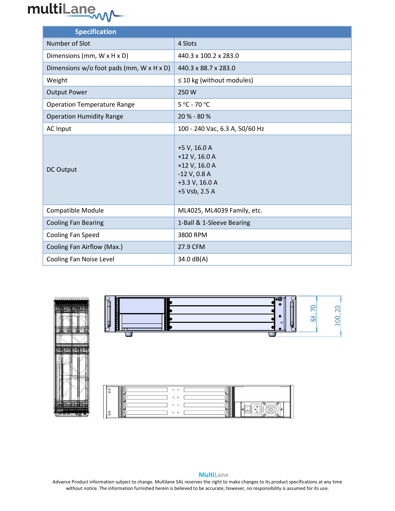

| <b>Specification</b>                     |                                                                                                     |
|------------------------------------------|-----------------------------------------------------------------------------------------------------|
| Number of Slot                           | 4 Slots                                                                                             |
| Dimensions (mm, W x H x D)               | 440.3 x 100.2 x 283.0                                                                               |
| Dimensions w/o foot pads (mm, W x H x D) | 440.3 x 88.7 x 283.0                                                                                |
| Weight                                   | $\leq$ 10 kg (without modules)                                                                      |
| <b>Output Power</b>                      | 250W                                                                                                |
| <b>Operation Temperature Range</b>       | 5 °C - 70 °C                                                                                        |
| <b>Operation Humidity Range</b>          | 20 % - 80 %                                                                                         |
| AC Input                                 | 100 - 240 Vac, 6.3 A, 50/60 Hz                                                                      |
| <b>DC Output</b>                         | +5 V, 16.0 A<br>+12 V, 16.0 A<br>+12 V, 16.0 A<br>$-12$ V, 0.8 A<br>+3.3 V, 16.0 A<br>+5 Vsb, 2.5 A |
| Compatible Module                        | ML4025, ML4039 Family, etc.                                                                         |
| <b>Cooling Fan Bearing</b>               | 1-Ball & 1-Sleeve Bearing                                                                           |
| Cooling Fan Speed                        | 3800 RPM                                                                                            |
| Cooling Fan Airflow (Max.)               | 27.9 CFM                                                                                            |
| Cooling Fan Noise Level                  | 34.0 dB(A)                                                                                          |



#### **MultiLane**

Advance Product information subject to change. Multilane SAL reserves the right to make changes to its product specifications at any time without notice. The information furnished herein is believed to be accurate; however, no responsibility is assumed for its use.